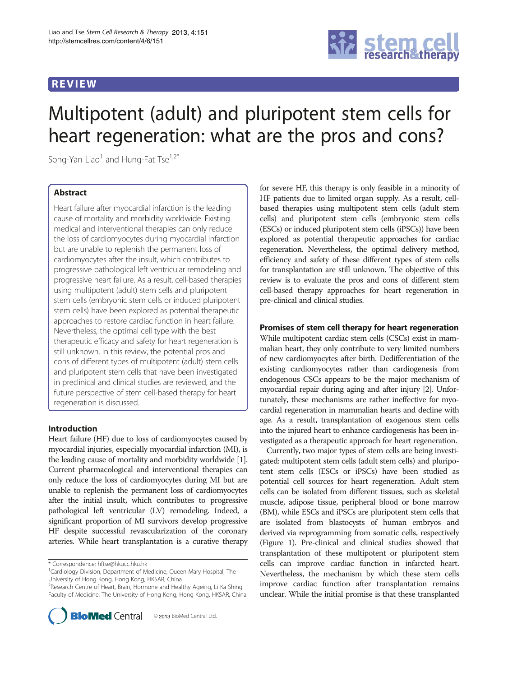# REVIEW



# Multipotent (adult) and pluripotent stem cells for heart regeneration: what are the pros and cons?

Song-Yan Liao<sup>1</sup> and Hung-Fat Tse<sup>1,2\*</sup>

# Abstract

Heart failure after myocardial infarction is the leading cause of mortality and morbidity worldwide. Existing medical and interventional therapies can only reduce the loss of cardiomyocytes during myocardial infarction but are unable to replenish the permanent loss of cardiomyocytes after the insult, which contributes to progressive pathological left ventricular remodeling and progressive heart failure. As a result, cell-based therapies using multipotent (adult) stem cells and pluripotent stem cells (embryonic stem cells or induced pluripotent stem cells) have been explored as potential therapeutic approaches to restore cardiac function in heart failure. Nevertheless, the optimal cell type with the best therapeutic efficacy and safety for heart regeneration is still unknown. In this review, the potential pros and cons of different types of multipotent (adult) stem cells and pluripotent stem cells that have been investigated in preclinical and clinical studies are reviewed, and the future perspective of stem cell-based therapy for heart regeneration is discussed.

# Introduction

Heart failure (HF) due to loss of cardiomyocytes caused by myocardial injuries, especially myocardial infarction (MI), is the leading cause of mortality and morbidity worldwide [[1](#page-9-0)]. Current pharmacological and interventional therapies can only reduce the loss of cardiomyocytes during MI but are unable to replenish the permanent loss of cardiomyocytes after the initial insult, which contributes to progressive pathological left ventricular (LV) remodeling. Indeed, a significant proportion of MI survivors develop progressive HF despite successful revascularization of the coronary arteries. While heart transplantation is a curative therapy

\* Correspondence: [hftse@hkucc.hku.hk](mailto:hftse@hkucc.hku.hk) <sup>1</sup>

for severe HF, this therapy is only feasible in a minority of HF patients due to limited organ supply. As a result, cellbased therapies using multipotent stem cells (adult stem cells) and pluripotent stem cells (embryonic stem cells (ESCs) or induced pluripotent stem cells (iPSCs)) have been explored as potential therapeutic approaches for cardiac regeneration. Nevertheless, the optimal delivery method, efficiency and safety of these different types of stem cells for transplantation are still unknown. The objective of this review is to evaluate the pros and cons of different stem cell-based therapy approaches for heart regeneration in pre-clinical and clinical studies.

## Promises of stem cell therapy for heart regeneration

While multipotent cardiac stem cells (CSCs) exist in mammalian heart, they only contribute to very limited numbers of new cardiomyocytes after birth. Dedifferentiation of the existing cardiomyocytes rather than cardiogenesis from endogenous CSCs appears to be the major mechanism of myocardial repair during aging and after injury [[2\]](#page-9-0). Unfortunately, these mechanisms are rather ineffective for myocardial regeneration in mammalian hearts and decline with age. As a result, transplantation of exogenous stem cells into the injured heart to enhance cardiogenesis has been investigated as a therapeutic approach for heart regeneration.

Currently, two major types of stem cells are being investigated: multipotent stem cells (adult stem cells) and pluripotent stem cells (ESCs or iPSCs) have been studied as potential cell sources for heart regeneration. Adult stem cells can be isolated from different tissues, such as skeletal muscle, adipose tissue, peripheral blood or bone marrow (BM), while ESCs and iPSCs are pluripotent stem cells that are isolated from blastocysts of human embryos and derived via reprogramming from somatic cells, respectively (Figure [1\)](#page-1-0). Pre-clinical and clinical studies showed that transplantation of these multipotent or pluripotent stem cells can improve cardiac function in infarcted heart. Nevertheless, the mechanism by which these stem cells improve cardiac function after transplantation remains unclear. While the initial promise is that these transplanted

Cardiology Division, Department of Medicine, Queen Mary Hospital, The University of Hong Kong, Hong Kong, HKSAR, China

<sup>&</sup>lt;sup>2</sup> Research Centre of Heart, Brain, Hormone and Healthy Ageing, Li Ka Shing Faculty of Medicine, The University of Hong Kong, Hong Kong, HKSAR, China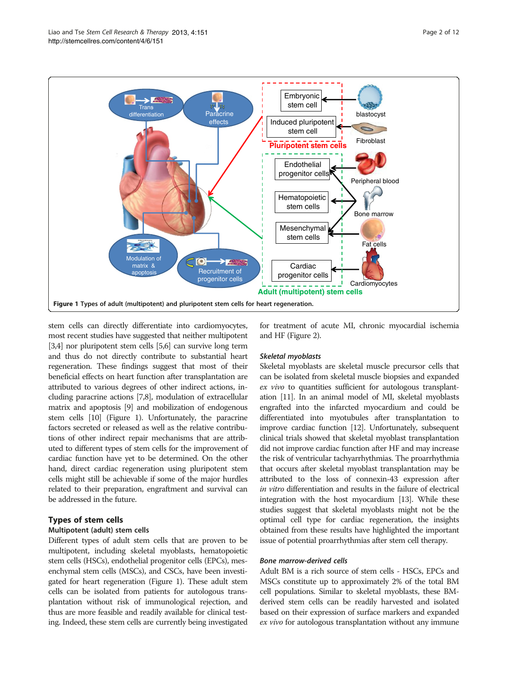<span id="page-1-0"></span>

stem cells can directly differentiate into cardiomyocytes, most recent studies have suggested that neither multipotent [[3,4](#page-9-0)] nor pluripotent stem cells [\[5,6](#page-9-0)] can survive long term and thus do not directly contribute to substantial heart regeneration. These findings suggest that most of their beneficial effects on heart function after transplantation are attributed to various degrees of other indirect actions, including paracrine actions [\[7,8](#page-9-0)], modulation of extracellular matrix and apoptosis [[9](#page-9-0)] and mobilization of endogenous stem cells [[10](#page-9-0)] (Figure 1). Unfortunately, the paracrine factors secreted or released as well as the relative contributions of other indirect repair mechanisms that are attributed to different types of stem cells for the improvement of cardiac function have yet to be determined. On the other hand, direct cardiac regeneration using pluripotent stem cells might still be achievable if some of the major hurdles related to their preparation, engraftment and survival can be addressed in the future.

## Types of stem cells

## Multipotent (adult) stem cells

Different types of adult stem cells that are proven to be multipotent, including skeletal myoblasts, hematopoietic stem cells (HSCs), endothelial progenitor cells (EPCs), mesenchymal stem cells (MSCs), and CSCs, have been investigated for heart regeneration (Figure 1). These adult stem cells can be isolated from patients for autologous transplantation without risk of immunological rejection, and thus are more feasible and readily available for clinical testing. Indeed, these stem cells are currently being investigated

for treatment of acute MI, chronic myocardial ischemia and HF (Figure [2\)](#page-2-0).

## Skeletal myoblasts

Skeletal myoblasts are skeletal muscle precursor cells that can be isolated from skeletal muscle biopsies and expanded ex vivo to quantities sufficient for autologous transplantation [[11](#page-9-0)]. In an animal model of MI, skeletal myoblasts engrafted into the infarcted myocardium and could be differentiated into myotubules after transplantation to improve cardiac function [\[12\]](#page-9-0). Unfortunately, subsequent clinical trials showed that skeletal myoblast transplantation did not improve cardiac function after HF and may increase the risk of ventricular tachyarrhythmias. The proarrhythmia that occurs after skeletal myoblast transplantation may be attributed to the loss of connexin-43 expression after in vitro differentiation and results in the failure of electrical integration with the host myocardium [\[13\]](#page-9-0). While these studies suggest that skeletal myoblasts might not be the optimal cell type for cardiac regeneration, the insights obtained from these results have highlighted the important issue of potential proarrhythmias after stem cell therapy.

#### Bone marrow-derived cells

Adult BM is a rich source of stem cells - HSCs, EPCs and MSCs constitute up to approximately 2% of the total BM cell populations. Similar to skeletal myoblasts, these BMderived stem cells can be readily harvested and isolated based on their expression of surface markers and expanded ex vivo for autologous transplantation without any immune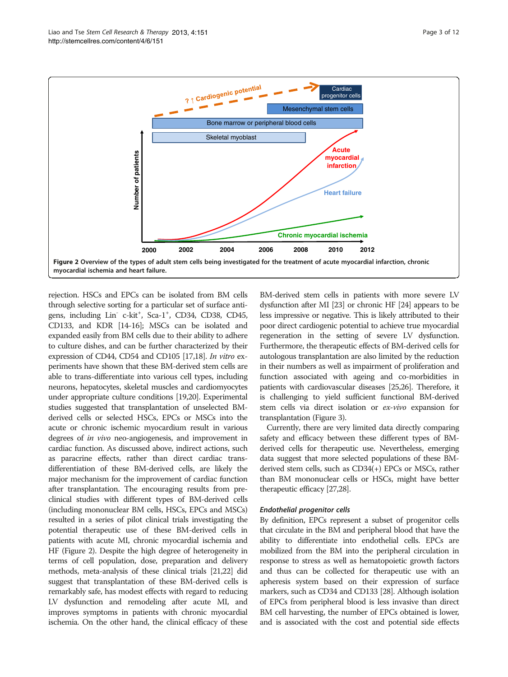<span id="page-2-0"></span>

rejection. HSCs and EPCs can be isolated from BM cells through selective sorting for a particular set of surface antigens, including Lin<sup>-</sup> c-kit<sup>+</sup>, Sca-1<sup>+</sup>, CD34, CD38, CD45, CD133, and KDR [\[14-16\]](#page-9-0); MSCs can be isolated and expanded easily from BM cells due to their ability to adhere to culture dishes, and can be further characterized by their expression of CD44, CD54 and CD105 [\[17,18\]](#page-9-0). In vitro experiments have shown that these BM-derived stem cells are able to trans-differentiate into various cell types, including neurons, hepatocytes, skeletal muscles and cardiomyocytes under appropriate culture conditions [\[19,20](#page-9-0)]. Experimental studies suggested that transplantation of unselected BMderived cells or selected HSCs, EPCs or MSCs into the acute or chronic ischemic myocardium result in various degrees of in vivo neo-angiogenesis, and improvement in cardiac function. As discussed above, indirect actions, such as paracrine effects, rather than direct cardiac transdifferentiation of these BM-derived cells, are likely the major mechanism for the improvement of cardiac function after transplantation. The encouraging results from preclinical studies with different types of BM-derived cells (including mononuclear BM cells, HSCs, EPCs and MSCs) resulted in a series of pilot clinical trials investigating the potential therapeutic use of these BM-derived cells in patients with acute MI, chronic myocardial ischemia and HF (Figure 2). Despite the high degree of heterogeneity in terms of cell population, dose, preparation and delivery methods, meta-analysis of these clinical trials [[21,22](#page-9-0)] did suggest that transplantation of these BM-derived cells is remarkably safe, has modest effects with regard to reducing LV dysfunction and remodeling after acute MI, and improves symptoms in patients with chronic myocardial ischemia. On the other hand, the clinical efficacy of these BM-derived stem cells in patients with more severe LV dysfunction after MI [\[23](#page-9-0)] or chronic HF [\[24](#page-9-0)] appears to be less impressive or negative. This is likely attributed to their poor direct cardiogenic potential to achieve true myocardial regeneration in the setting of severe LV dysfunction. Furthermore, the therapeutic effects of BM-derived cells for autologous transplantation are also limited by the reduction in their numbers as well as impairment of proliferation and function associated with ageing and co-morbidities in patients with cardiovascular diseases [[25,26](#page-9-0)]. Therefore, it is challenging to yield sufficient functional BM-derived stem cells via direct isolation or ex-vivo expansion for transplantation (Figure [3](#page-3-0)).

Currently, there are very limited data directly comparing safety and efficacy between these different types of BMderived cells for therapeutic use. Nevertheless, emerging data suggest that more selected populations of these BMderived stem cells, such as CD34(+) EPCs or MSCs, rather than BM mononuclear cells or HSCs, might have better therapeutic efficacy [[27](#page-9-0)[,28](#page-10-0)].

#### Endothelial progenitor cells

By definition, EPCs represent a subset of progenitor cells that circulate in the BM and peripheral blood that have the ability to differentiate into endothelial cells. EPCs are mobilized from the BM into the peripheral circulation in response to stress as well as hematopoietic growth factors and thus can be collected for therapeutic use with an apheresis system based on their expression of surface markers, such as CD34 and CD133 [[28](#page-10-0)]. Although isolation of EPCs from peripheral blood is less invasive than direct BM cell harvesting, the number of EPCs obtained is lower, and is associated with the cost and potential side effects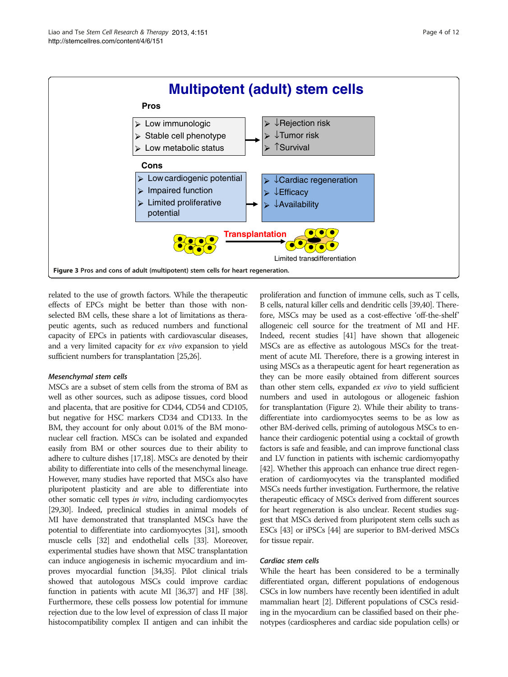<span id="page-3-0"></span>

related to the use of growth factors. While the therapeutic effects of EPCs might be better than those with nonselected BM cells, these share a lot of limitations as therapeutic agents, such as reduced numbers and functional capacity of EPCs in patients with cardiovascular diseases, and a very limited capacity for ex vivo expansion to yield sufficient numbers for transplantation [\[25,26](#page-9-0)].

#### Mesenchymal stem cells

MSCs are a subset of stem cells from the stroma of BM as well as other sources, such as adipose tissues, cord blood and placenta, that are positive for CD44, CD54 and CD105, but negative for HSC markers CD34 and CD133. In the BM, they account for only about 0.01% of the BM mononuclear cell fraction. MSCs can be isolated and expanded easily from BM or other sources due to their ability to adhere to culture dishes [\[17,18](#page-9-0)]. MSCs are denoted by their ability to differentiate into cells of the mesenchymal lineage. However, many studies have reported that MSCs also have pluripotent plasticity and are able to differentiate into other somatic cell types in vitro, including cardiomyocytes [[29,30\]](#page-10-0). Indeed, preclinical studies in animal models of MI have demonstrated that transplanted MSCs have the potential to differentiate into cardiomyocytes [[31](#page-10-0)], smooth muscle cells [\[32\]](#page-10-0) and endothelial cells [\[33\]](#page-10-0). Moreover, experimental studies have shown that MSC transplantation can induce angiogenesis in ischemic myocardium and improves myocardial function [[34,35](#page-10-0)]. Pilot clinical trials showed that autologous MSCs could improve cardiac function in patients with acute MI [\[36,37](#page-10-0)] and HF [\[38](#page-10-0)]. Furthermore, these cells possess low potential for immune rejection due to the low level of expression of class II major histocompatibility complex II antigen and can inhibit the

proliferation and function of immune cells, such as T cells, B cells, natural killer cells and dendritic cells [\[39,40](#page-10-0)]. Therefore, MSCs may be used as a cost-effective 'off-the-shelf' allogeneic cell source for the treatment of MI and HF. Indeed, recent studies [\[41\]](#page-10-0) have shown that allogeneic MSCs are as effective as autologous MSCs for the treatment of acute MI. Therefore, there is a growing interest in using MSCs as a therapeutic agent for heart regeneration as they can be more easily obtained from different sources than other stem cells, expanded ex vivo to yield sufficient numbers and used in autologous or allogeneic fashion for transplantation (Figure [2](#page-2-0)). While their ability to transdifferentiate into cardiomyocytes seems to be as low as other BM-derived cells, priming of autologous MSCs to enhance their cardiogenic potential using a cocktail of growth factors is safe and feasible, and can improve functional class and LV function in patients with ischemic cardiomyopathy [[42](#page-10-0)]. Whether this approach can enhance true direct regeneration of cardiomyocytes via the transplanted modified MSCs needs further investigation. Furthermore, the relative therapeutic efficacy of MSCs derived from different sources for heart regeneration is also unclear. Recent studies suggest that MSCs derived from pluripotent stem cells such as ESCs [\[43\]](#page-10-0) or iPSCs [\[44\]](#page-10-0) are superior to BM-derived MSCs for tissue repair.

#### Cardiac stem cells

While the heart has been considered to be a terminally differentiated organ, different populations of endogenous CSCs in low numbers have recently been identified in adult mammalian heart [[2\]](#page-9-0). Different populations of CSCs residing in the myocardium can be classified based on their phenotypes (cardiospheres and cardiac side population cells) or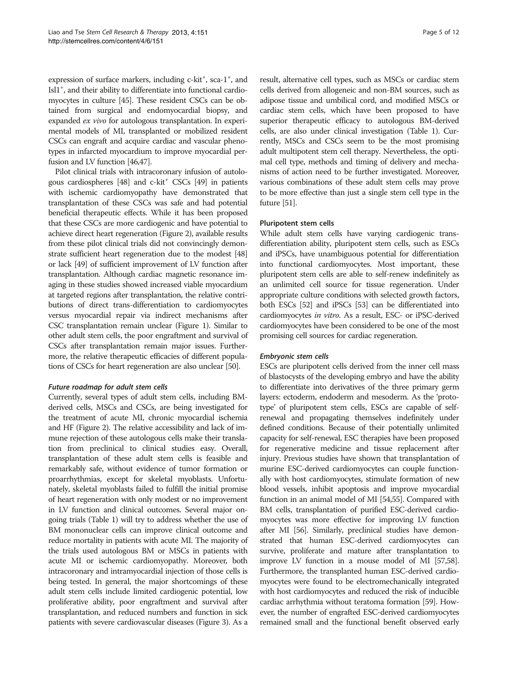expression of surface markers, including c-kit<sup>+</sup>, sca-1<sup>+</sup>, and Isl1<sup>+</sup>, and their ability to differentiate into functional cardiomyocytes in culture [\[45\]](#page-10-0). These resident CSCs can be obtained from surgical and endomyocardial biopsy, and expanded ex vivo for autologous transplantation. In experimental models of MI, transplanted or mobilized resident CSCs can engraft and acquire cardiac and vascular phenotypes in infarcted myocardium to improve myocardial perfusion and LV function [\[46,47](#page-10-0)].

Pilot clinical trials with intracoronary infusion of autologous cardiospheres  $[48]$  and c-kit<sup>+</sup> CSCs  $[49]$  $[49]$  $[49]$  in patients with ischemic cardiomyopathy have demonstrated that transplantation of these CSCs was safe and had potential beneficial therapeutic effects. While it has been proposed that these CSCs are more cardiogenic and have potential to achieve direct heart regeneration (Figure [2\)](#page-2-0), available results from these pilot clinical trials did not convincingly demonstrate sufficient heart regeneration due to the modest [\[48](#page-10-0)] or lack [\[49\]](#page-10-0) of sufficient improvement of LV function after transplantation. Although cardiac magnetic resonance imaging in these studies showed increased viable myocardium at targeted regions after transplantation, the relative contributions of direct trans-differentiation to cardiomyocytes versus myocardial repair via indirect mechanisms after CSC transplantation remain unclear (Figure [1\)](#page-1-0). Similar to other adult stem cells, the poor engraftment and survival of CSCs after transplantation remain major issues. Furthermore, the relative therapeutic efficacies of different populations of CSCs for heart regeneration are also unclear [\[50\]](#page-10-0).

## Future roadmap for adult stem cells

Currently, several types of adult stem cells, including BMderived cells, MSCs and CSCs, are being investigated for the treatment of acute MI, chronic myocardial ischemia and HF (Figure [2](#page-2-0)). The relative accessibility and lack of immune rejection of these autologous cells make their translation from preclinical to clinical studies easy. Overall, transplantation of these adult stem cells is feasible and remarkably safe, without evidence of tumor formation or proarrhythmias, except for skeletal myoblasts. Unfortunately, skeletal myoblasts failed to fulfill the initial promise of heart regeneration with only modest or no improvement in LV function and clinical outcomes. Several major ongoing trials (Table [1\)](#page-5-0) will try to address whether the use of BM mononuclear cells can improve clinical outcome and reduce mortality in patients with acute MI. The majority of the trials used autologous BM or MSCs in patients with acute MI or ischemic cardiomyopathy. Moreover, both intracoronary and intramyocardial injection of those cells is being tested. In general, the major shortcomings of these adult stem cells include limited cardiogenic potential, low proliferative ability, poor engraftment and survival after transplantation, and reduced numbers and function in sick patients with severe cardiovascular diseases (Figure [3](#page-3-0)). As a

result, alternative cell types, such as MSCs or cardiac stem cells derived from allogeneic and non-BM sources, such as adipose tissue and umbilical cord, and modified MSCs or cardiac stem cells, which have been proposed to have superior therapeutic efficacy to autologous BM-derived cells, are also under clinical investigation (Table [1\)](#page-5-0). Currently, MSCs and CSCs seem to be the most promising adult multipotent stem cell therapy. Nevertheless, the optimal cell type, methods and timing of delivery and mechanisms of action need to be further investigated. Moreover, various combinations of these adult stem cells may prove to be more effective than just a single stem cell type in the future [\[51](#page-10-0)].

### Pluripotent stem cells

While adult stem cells have varying cardiogenic transdifferentiation ability, pluripotent stem cells, such as ESCs and iPSCs, have unambiguous potential for differentiation into functional cardiomyocytes. Most important, these pluripotent stem cells are able to self-renew indefinitely as an unlimited cell source for tissue regeneration. Under appropriate culture conditions with selected growth factors, both ESCs [\[52\]](#page-10-0) and iPSCs [\[53\]](#page-10-0) can be differentiated into cardiomyocytes in vitro. As a result, ESC- or iPSC-derived cardiomyocytes have been considered to be one of the most promising cell sources for cardiac regeneration.

#### Embryonic stem cells

ESCs are pluripotent cells derived from the inner cell mass of blastocysts of the developing embryo and have the ability to differentiate into derivatives of the three primary germ layers: ectoderm, endoderm and mesoderm. As the 'prototype' of pluripotent stem cells, ESCs are capable of selfrenewal and propagating themselves indefinitely under defined conditions. Because of their potentially unlimited capacity for self-renewal, ESC therapies have been proposed for regenerative medicine and tissue replacement after injury. Previous studies have shown that transplantation of murine ESC-derived cardiomyocytes can couple functionally with host cardiomyocytes, stimulate formation of new blood vessels, inhibit apoptosis and improve myocardial function in an animal model of MI [\[54,55](#page-10-0)]. Compared with BM cells, transplantation of purified ESC-derived cardiomyocytes was more effective for improving LV function after MI [\[56\]](#page-10-0). Similarly, preclinical studies have demonstrated that human ESC-derived cardiomyocytes can survive, proliferate and mature after transplantation to improve LV function in a mouse model of MI [[57,58](#page-10-0)]. Furthermore, the transplanted human ESC-derived cardiomyocytes were found to be electromechanically integrated with host cardiomyocytes and reduced the risk of inducible cardiac arrhythmia without teratoma formation [\[59\]](#page-10-0). However, the number of engrafted ESC-derived cardiomyocytes remained small and the functional benefit observed early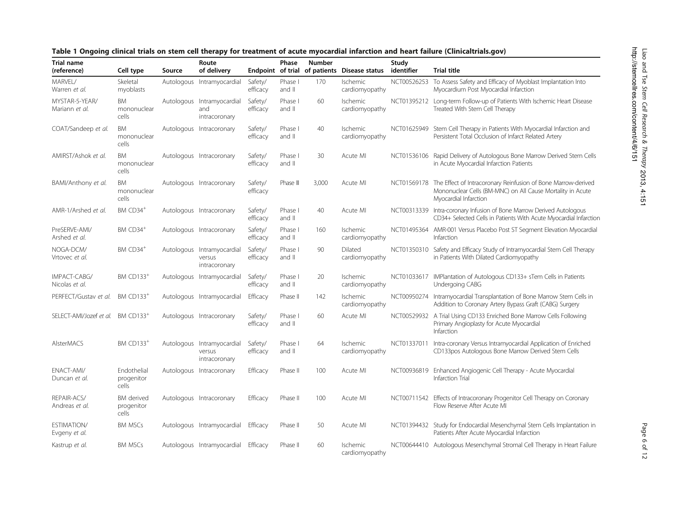| Trial name<br>(reference)           | Cell type                                | Source | Route<br>of delivery                                  | Endpoint of trial   | Phase             | <b>Number</b> | of patients Disease status        | Study<br>identifier | <b>Trial title</b>                                                                                                                                               |
|-------------------------------------|------------------------------------------|--------|-------------------------------------------------------|---------------------|-------------------|---------------|-----------------------------------|---------------------|------------------------------------------------------------------------------------------------------------------------------------------------------------------|
| MARVEL/<br>Warren et al.            | Skeletal<br>myoblasts                    |        | Autologous Intramyocardial                            | Safety/<br>efficacy | Phase I<br>and II | 170           | <b>Ischemic</b><br>cardiomyopathy | NCT00526253         | To Assess Safety and Efficacy of Myoblast Implantation Into<br>Myocardium Post Myocardial Infarction                                                             |
| MYSTAR-5-YEAR/<br>Mariann et al.    | BM<br>mononuclear<br>cells               |        | Autologous Intramyocardial<br>and<br>intracoronary    | Safety/<br>efficacy | Phase I<br>and II | 60            | Ischemic<br>cardiomyopathy        |                     | NCT01395212 Long-term Follow-up of Patients With Ischemic Heart Disease<br>Treated With Stem Cell Therapy                                                        |
| COAT/Sandeep et al.                 | <b>BM</b><br>mononuclear<br>cells        |        | Autologous Intracoronary                              | Safety/<br>efficacy | Phase I<br>and II | 40            | Ischemic<br>cardiomyopathy        |                     | NCT01625949 Stem Cell Therapy in Patients With Myocardial Infarction and<br>Persistent Total Occlusion of Infarct Related Artery                                 |
| AMIRST/Ashok et al.                 | <b>BM</b><br>mononuclear<br>cells        |        | Autologous Intracoronary                              | Safety/<br>efficacy | Phase I<br>and II | 30            | Acute MI                          |                     | NCT01536106 Rapid Delivery of Autologous Bone Marrow Derived Stem Cells<br>in Acute Myocardial Infarction Patients                                               |
| BAMI/Anthony et al.                 | <b>BM</b><br>mononuclear<br>cells        |        | Autologous Intracoronary                              | Safety/<br>efficacy | Phase III         | 3,000         | Acute MI                          |                     | NCT01569178 The Effect of Intracoronary Reinfusion of Bone Marrow-derived<br>Mononuclear Cells (BM-MNC) on All Cause Mortality in Acute<br>Myocardial Infarction |
| AMR-1/Arshed et al.                 | BM CD34 <sup>+</sup>                     |        | Autologous Intracoronary                              | Safety/<br>efficacy | Phase I<br>and II | 40            | Acute MI                          |                     | NCT00313339 Intra-coronary Infusion of Bone Marrow Derived Autologous<br>CD34+ Selected Cells in Patients With Acute Myocardial Infarction                       |
| PreSERVE-AMI/<br>Arshed et al.      | $BM$ CD34 <sup>+</sup>                   |        | Autologous Intracoronary                              | Safety/<br>efficacy | Phase I<br>and II | 160           | Ischemic<br>cardiomyopathy        |                     | NCT01495364 AMR-001 Versus Placebo Post ST Segment Elevation Myocardial<br>Infarction                                                                            |
| NOGA-DCM/<br>Vrtovec et al.         | BM CD34 <sup>+</sup>                     |        | Autologous Intramyocardial<br>versus<br>intracoronary | Safety/<br>efficacy | Phase I<br>and II | 90            | Dilated<br>cardiomyopathy         |                     | NCT01350310 Safety and Efficacy Study of Intramyocardial Stem Cell Therapy<br>in Patients With Dilated Cardiomyopathy                                            |
| IMPACT-CABG/<br>Nicolas et al.      | <b>BM CD133<sup>+</sup></b>              |        | Autologous Intramyocardial                            | Safety/<br>efficacy | Phase I<br>and II | 20            | Ischemic<br>cardiomyopathy        |                     | NCT01033617 IMPlantation of Autologous CD133+ sTem Cells in Patients<br>Undergoing CABG                                                                          |
| PERFECT/Gustav et al.               | <b>BM CD133<sup>+</sup></b>              |        | Autologous Intramyocardial                            | Efficacy            | Phase II          | 142           | Ischemic<br>cardiomyopathy        |                     | NCT00950274 Intramyocardial Transplantation of Bone Marrow Stem Cells in<br>Addition to Coronary Artery Bypass Graft (CABG) Surgery                              |
| SELECT-AMI/Jozef et al.             | BM CD133 <sup>+</sup>                    |        | Autologous Intracoronary                              | Safety/<br>efficacy | Phase I<br>and II | 60            | Acute MI                          |                     | NCT00529932 A Trial Using CD133 Enriched Bone Marrow Cells Following<br>Primary Angioplasty for Acute Myocardial<br>Infarction                                   |
| AlsterMACS                          | <b>BM CD133<sup>+</sup></b>              |        | Autologous Intramyocardial<br>versus<br>intracoronary | Safety/<br>efficacy | Phase I<br>and II | 64            | Ischemic<br>cardiomyopathy        | NCT01337011         | Intra-coronary Versus Intramyocardial Application of Enriched<br>CD133pos Autologous Bone Marrow Derived Stem Cells                                              |
| ENACT-AMI/<br>Duncan et al.         | Endothelial<br>progenitor<br>cells       |        | Autologous Intracoronary                              | Efficacy            | Phase II          | 100           | Acute MI                          |                     | NCT00936819 Enhanced Angiogenic Cell Therapy - Acute Myocardial<br>Infarction Trial                                                                              |
| REPAIR-ACS/<br>Andreas et al.       | <b>BM</b> derived<br>progenitor<br>cells |        | Autologous Intracoronary                              | Efficacy            | Phase II          | 100           | Acute MI                          |                     | NCT00711542 Effects of Intracoronary Progenitor Cell Therapy on Coronary<br>Flow Reserve After Acute MI                                                          |
| <b>ESTIMATION/</b><br>Evgeny et al. | <b>BM MSCs</b>                           |        | Autologous Intramyocardial                            | Efficacy            | Phase II          | 50            | Acute MI                          |                     | NCT01394432 Study for Endocardial Mesenchymal Stem Cells Implantation in<br>Patients After Acute Myocardial Infarction                                           |
| Kastrup et al.                      | <b>BM MSCs</b>                           |        | Autologous Intramyocardial                            | Efficacy            | Phase II          | 60            | Ischemic<br>cardiomyopathy        |                     | NCT00644410 Autologous Mesenchymal Stromal Cell Therapy in Heart Failure                                                                                         |

## <span id="page-5-0"></span>Table 1 Ongoing clinical trials on stem cell therapy for treatment of acute myocardial infarction and heart failure (Clinicaltrials.gov)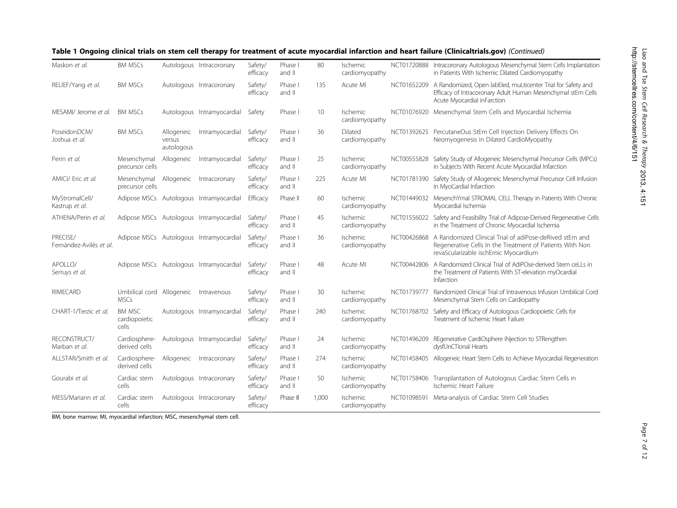| Maskon et al.                       | <b>BM MSCs</b>                           |                                    | Autologous Intracoronary                | Safety/<br>efficacy | Phase I<br>and II | 80    | Ischemic<br>cardiomyopathy        | NCT01720888 | Intracoronary Autologous Mesenchymal Stem Cells Implantation<br>in Patients With Ischemic Dilated Cardiomyopathy                                            |
|-------------------------------------|------------------------------------------|------------------------------------|-----------------------------------------|---------------------|-------------------|-------|-----------------------------------|-------------|-------------------------------------------------------------------------------------------------------------------------------------------------------------|
| RELIEF/Yang et al.                  | <b>BM MSCs</b>                           |                                    | Autologous Intracoronary                | Safety/<br>efficacy | Phase I<br>and II | 135   | Acute MI                          | NCT01652209 | A Randomized, Open labEled, muLticenter Trial for Safety and<br>Efficacy of Intracoronary Adult Human Mesenchymal stEm Cells<br>Acute Myocardial inFarction |
| MESAMI/ Jerome et al.               | <b>BM MSCs</b>                           |                                    | Autologous Intramyocardial              | Safety              | Phase I           | 10    | Ischemic<br>cardiomyopathy        |             | NCT01076920 Mesenchymal Stem Cells and Myocardial Ischemia                                                                                                  |
| PoseidonDCM/<br>Joshua et al.       | <b>BM MSCs</b>                           | Allogeneic<br>versus<br>autologous | Intramyocardial                         | Safety/<br>efficacy | Phase I<br>and II | 36    | Dilated<br>cardiomyopathy         | NCT01392625 | PercutaneOus StEm Cell Injection Delivery Effects On<br>Neomyogenesis in Dilated CardioMyopathy                                                             |
| Perin et al.                        | Mesenchymal<br>precursor cells           | Allogeneic                         | Intramyocardial                         | Safety/<br>efficacy | Phase I<br>and II | 25    | Ischemic<br>cardiomyopathy        | NCT00555828 | Safety Study of Allogeneic Mesenchymal Precursor Cells (MPCs)<br>in Subjects With Recent Acute Myocardial Infarction                                        |
| AMICI/ Eric et al.                  | Mesenchymal<br>precursor cells           | Allogeneic                         | Intracoronary                           | Safety/<br>efficacy | Phase I<br>and II | 225   | Acute MI                          | NCT01781390 | Safety Study of Allogeneic Mesenchymal Precursor Cell Infusion<br>in MyoCardial Infarction                                                                  |
| MyStromalCell/<br>Kastrup et al.    |                                          |                                    | Adipose MSCs Autologous Intramyocardial | Efficacy            | Phase II          | 60    | Ischemic<br>cardiomyopathy        | NCT01449032 | MesenchYmal STROMAL CELL Therapy in Patients With Chronic<br>Myocardial Ischemia                                                                            |
| ATHENA/Perin et al.                 |                                          |                                    | Adipose MSCs Autologous Intramyocardial | Safety/<br>efficacy | Phase I<br>and II | 45    | Ischemic<br>cardiomyopathy        |             | NCT01556022 Safety and Feasibility Trial of Adipose-Derived Regenerative Cells<br>in the Treatment of Chronic Myocardial Ischemia                           |
| PRECISE/<br>Fernández-Avilés et al. |                                          |                                    | Adipose MSCs Autologous Intramyocardial | Safety/<br>efficacy | Phase I<br>and II | 36    | <b>Ischemic</b><br>cardiomyopathy | NCT00426868 | A Randomized Clinical Trial of adiPose-deRived stEm and<br>Regenerative Cells In the Treatment of Patients With Non<br>revaScularizable ischEmic Myocardium |
| APOLLO/<br>Serruys et al.           |                                          |                                    | Adipose MSCs Autologous Intramyocardial | Safety/<br>efficacy | Phase I<br>and II | 48    | Acute MI                          | NCT00442806 | A Randomized Clinical Trial of AdiPOse-derived Stem ceLLs in<br>the Treatment of Patients With ST-elevation myOcardial<br>Infarction                        |
| RIMECARD                            | Umbilical cord Allogeneic<br><b>MSCs</b> |                                    | Intravenous                             | Safety/<br>efficacy | Phase I<br>and II | 30    | Ischemic<br>cardiomyopathy        | NCT01739777 | Randomized Clinical Trial of Intravenous Infusion Umbilical Cord<br>Mesenchymal Stem Cells on Cardiopathy                                                   |
| CHART-1/Terzic et al.               | <b>BM MSC</b><br>cardiopoietic<br>cells  |                                    | Autologous Intramyocardial              | Safety/<br>efficacy | Phase I<br>and II | 240   | Ischemic<br>cardiomyopathy        | NCT01768702 | Safety and Efficacy of Autologous Cardiopoietic Cells for<br>Treatment of Ischemic Heart Failure                                                            |
| RECONSTRUCT/<br>Marban et al.       | Cardiosphere-<br>derived cells           |                                    | Autologous Intramyocardial              | Safety/<br>efficacy | Phase I<br>and II | 24    | <b>Ischemic</b><br>cardiomyopathy | NCT01496209 | REgenerative CardiOsphere iNjection to STRengthen<br>dysfUnCTional Hearts                                                                                   |
| ALLSTAR/Smith et al.                | Cardiosphere-<br>derived cells           | Allogeneic                         | Intracoronary                           | Safety/<br>efficacy | Phase I<br>and II | 274   | Ischemic<br>cardiomyopathy        |             | NCT01458405 Allogeneic Heart Stem Cells to Achieve Myocardial Regeneration                                                                                  |
| Gourabi et al.                      | Cardiac stem<br>cells                    |                                    | Autologous Intracoronary                | Safety/<br>efficacy | Phase I<br>and II | 50    | Ischemic<br>cardiomyopathy        |             | NCT01758406 Transplantation of Autologous Cardiac Stem Cells in<br>Ischemic Heart Failure                                                                   |
| MESS/Mariann et al.                 | Cardiac stem<br>cells                    |                                    | Autologous Intracoronary                | Safety/<br>efficacy | Phase III         | 1.000 | <b>Ischemic</b><br>cardiomyopathy |             | NCT01098591 Meta-analysis of Cardiac Stem Cell Studies                                                                                                      |

# Table 1 Ongoing clinical trials on stem cell therapy for treatment of acute myocardial infarction and heart failure (Clinicaltrials.gov) (Continued)

BM, bone marrow; MI, myocardial infarction; MSC, mesenchymal stem cell.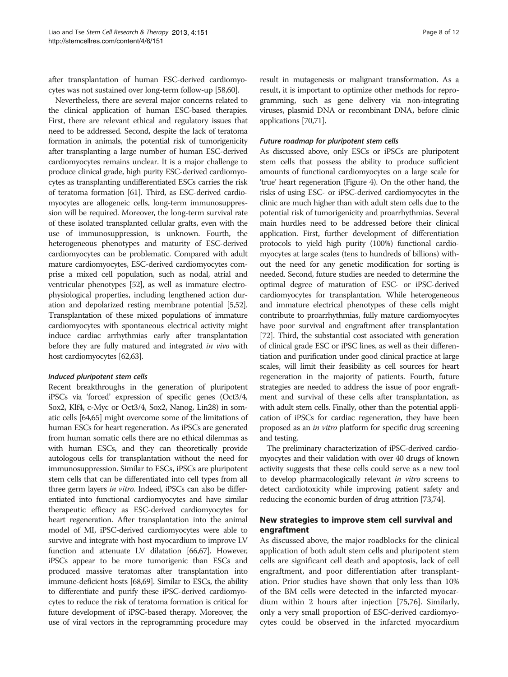after transplantation of human ESC-derived cardiomyocytes was not sustained over long-term follow-up [\[58,60\]](#page-10-0).

Nevertheless, there are several major concerns related to the clinical application of human ESC-based therapies. First, there are relevant ethical and regulatory issues that need to be addressed. Second, despite the lack of teratoma formation in animals, the potential risk of tumorigenicity after transplanting a large number of human ESC-derived cardiomyocytes remains unclear. It is a major challenge to produce clinical grade, high purity ESC-derived cardiomyocytes as transplanting undifferentiated ESCs carries the risk of teratoma formation [\[61\]](#page-10-0). Third, as ESC-derived cardiomyocytes are allogeneic cells, long-term immunosuppression will be required. Moreover, the long-term survival rate of these isolated transplanted cellular grafts, even with the use of immunosuppression, is unknown. Fourth, the heterogeneous phenotypes and maturity of ESC-derived cardiomyocytes can be problematic. Compared with adult mature cardiomyocytes, ESC-derived cardiomyocytes comprise a mixed cell population, such as nodal, atrial and ventricular phenotypes [[52](#page-10-0)], as well as immature electrophysiological properties, including lengthened action duration and depolarized resting membrane potential [\[5](#page-9-0)[,52](#page-10-0)]. Transplantation of these mixed populations of immature cardiomyocytes with spontaneous electrical activity might induce cardiac arrhythmias early after transplantation before they are fully matured and integrated in vivo with host cardiomyocytes [\[62,63\]](#page-11-0).

#### Induced pluripotent stem cells

Recent breakthroughs in the generation of pluripotent iPSCs via 'forced' expression of specific genes (Oct3/4, Sox2, Klf4, c-Myc or Oct3/4, Sox2, Nanog, Lin28) in somatic cells [\[64,65\]](#page-11-0) might overcome some of the limitations of human ESCs for heart regeneration. As iPSCs are generated from human somatic cells there are no ethical dilemmas as with human ESCs, and they can theoretically provide autologous cells for transplantation without the need for immunosuppression. Similar to ESCs, iPSCs are pluripotent stem cells that can be differentiated into cell types from all three germ layers in vitro. Indeed, iPSCs can also be differentiated into functional cardiomyocytes and have similar therapeutic efficacy as ESC-derived cardiomyocytes for heart regeneration. After transplantation into the animal model of MI, iPSC-derived cardiomyocytes were able to survive and integrate with host myocardium to improve LV function and attenuate LV dilatation [\[66,67\]](#page-11-0). However, iPSCs appear to be more tumorigenic than ESCs and produced massive teratomas after transplantation into immune-deficient hosts [[68,69](#page-11-0)]. Similar to ESCs, the ability to differentiate and purify these iPSC-derived cardiomyocytes to reduce the risk of teratoma formation is critical for future development of iPSC-based therapy. Moreover, the use of viral vectors in the reprogramming procedure may result in mutagenesis or malignant transformation. As a result, it is important to optimize other methods for reprogramming, such as gene delivery via non-integrating viruses, plasmid DNA or recombinant DNA, before clinic applications [[70,71\]](#page-11-0).

### Future roadmap for pluripotent stem cells

As discussed above, only ESCs or iPSCs are pluripotent stem cells that possess the ability to produce sufficient amounts of functional cardiomyocytes on a large scale for 'true' heart regeneration (Figure [4](#page-8-0)). On the other hand, the risks of using ESC- or iPSC-derived cardiomyocytes in the clinic are much higher than with adult stem cells due to the potential risk of tumorigenicity and proarrhythmias. Several main hurdles need to be addressed before their clinical application. First, further development of differentiation protocols to yield high purity (100%) functional cardiomyocytes at large scales (tens to hundreds of billions) without the need for any genetic modification for sorting is needed. Second, future studies are needed to determine the optimal degree of maturation of ESC- or iPSC-derived cardiomyocytes for transplantation. While heterogeneous and immature electrical phenotypes of these cells might contribute to proarrhythmias, fully mature cardiomyocytes have poor survival and engraftment after transplantation [[72](#page-11-0)]. Third, the substantial cost associated with generation of clinical grade ESC or iPSC lines, as well as their differentiation and purification under good clinical practice at large scales, will limit their feasibility as cell sources for heart regeneration in the majority of patients. Fourth, future strategies are needed to address the issue of poor engraftment and survival of these cells after transplantation, as with adult stem cells. Finally, other than the potential application of iPSCs for cardiac regeneration, they have been proposed as an in vitro platform for specific drug screening and testing.

The preliminary characterization of iPSC-derived cardiomyocytes and their validation with over 40 drugs of known activity suggests that these cells could serve as a new tool to develop pharmacologically relevant in vitro screens to detect cardiotoxicity while improving patient safety and reducing the economic burden of drug attrition [\[73,74](#page-11-0)].

## New strategies to improve stem cell survival and engraftment

As discussed above, the major roadblocks for the clinical application of both adult stem cells and pluripotent stem cells are significant cell death and apoptosis, lack of cell engraftment, and poor differentiation after transplantation. Prior studies have shown that only less than 10% of the BM cells were detected in the infarcted myocardium within 2 hours after injection [\[75,76](#page-11-0)]. Similarly, only a very small proportion of ESC-derived cardiomyocytes could be observed in the infarcted myocardium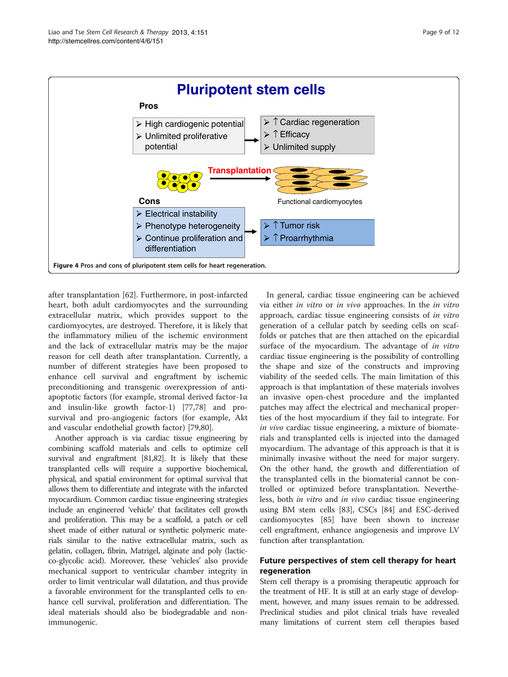<span id="page-8-0"></span>

after transplantation [[62\]](#page-11-0). Furthermore, in post-infarcted heart, both adult cardiomyocytes and the surrounding extracellular matrix, which provides support to the cardiomyocytes, are destroyed. Therefore, it is likely that the inflammatory milieu of the ischemic environment and the lack of extracellular matrix may be the major reason for cell death after transplantation. Currently, a number of different strategies have been proposed to enhance cell survival and engraftment by ischemic preconditioning and transgenic overexpression of antiapoptotic factors (for example, stromal derived factor-1α and insulin-like growth factor-1) [[77,78\]](#page-11-0) and prosurvival and pro-angiogenic factors (for example, Akt and vascular endothelial growth factor) [\[79,80](#page-11-0)].

Another approach is via cardiac tissue engineering by combining scaffold materials and cells to optimize cell survival and engraftment [[81,82\]](#page-11-0). It is likely that these transplanted cells will require a supportive biochemical, physical, and spatial environment for optimal survival that allows them to differentiate and integrate with the infarcted myocardium. Common cardiac tissue engineering strategies include an engineered 'vehicle' that facilitates cell growth and proliferation. This may be a scaffold, a patch or cell sheet made of either natural or synthetic polymeric materials similar to the native extracellular matrix, such as gelatin, collagen, fibrin, Matrigel, alginate and poly (lacticco-glycolic acid). Moreover, these 'vehicles' also provide mechanical support to ventricular chamber integrity in order to limit ventricular wall dilatation, and thus provide a favorable environment for the transplanted cells to enhance cell survival, proliferation and differentiation. The ideal materials should also be biodegradable and nonimmunogenic.

In general, cardiac tissue engineering can be achieved via either in vitro or in vivo approaches. In the in vitro approach, cardiac tissue engineering consists of in vitro generation of a cellular patch by seeding cells on scaffolds or patches that are then attached on the epicardial surface of the myocardium. The advantage of in vitro cardiac tissue engineering is the possibility of controlling the shape and size of the constructs and improving viability of the seeded cells. The main limitation of this approach is that implantation of these materials involves an invasive open-chest procedure and the implanted patches may affect the electrical and mechanical properties of the host myocardium if they fail to integrate. For in vivo cardiac tissue engineering, a mixture of biomaterials and transplanted cells is injected into the damaged myocardium. The advantage of this approach is that it is minimally invasive without the need for major surgery. On the other hand, the growth and differentiation of the transplanted cells in the biomaterial cannot be controlled or optimized before transplantation. Nevertheless, both *in vitro* and *in vivo* cardiac tissue engineering using BM stem cells [[83](#page-11-0)], CSCs [\[84](#page-11-0)] and ESC-derived cardiomyocytes [\[85](#page-11-0)] have been shown to increase cell engraftment, enhance angiogenesis and improve LV function after transplantation.

# Future perspectives of stem cell therapy for heart regeneration

Stem cell therapy is a promising therapeutic approach for the treatment of HF. It is still at an early stage of development, however, and many issues remain to be addressed. Preclinical studies and pilot clinical trials have revealed many limitations of current stem cell therapies based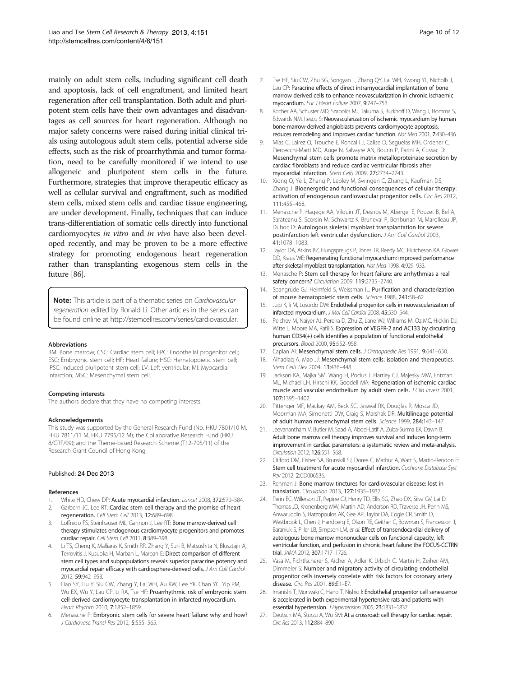<span id="page-9-0"></span>mainly on adult stem cells, including significant cell death and apoptosis, lack of cell engraftment, and limited heart regeneration after cell transplantation. Both adult and pluripotent stem cells have their own advantages and disadvantages as cell sources for heart regeneration. Although no major safety concerns were raised during initial clinical trials using autologous adult stem cells, potential adverse side effects, such as the risk of proarrhythmia and tumor formation, need to be carefully monitored if we intend to use allogeneic and pluripotent stem cells in the future. Furthermore, strategies that improve therapeutic efficacy as well as cellular survival and engraftment, such as modified stem cells, mixed stem cells and cardiac tissue engineering, are under development. Finally, techniques that can induce trans-differentiation of somatic cells directly into functional cardiomyocytes in vitro and in vivo have also been developed recently, and may be proven to be a more effective strategy for promoting endogenous heart regeneration rather than transplanting exogenous stem cells in the future [\[86](#page-11-0)].

Note: This article is part of a thematic series on Cardiovascular regeneration edited by Ronald Li. Other articles in the series can be found online at http://stemcellres.com/series/cardiovascular.

#### Abbreviations

BM: Bone marrow; CSC: Cardiac stem cell; EPC: Endothelial progenitor cell; ESC: Embryonic stem cell; HF: Heart failure; HSC: Hematopoietic stem cell; iPSC: Induced pluripotent stem cell; LV: Left ventricular; MI: Myocardial infarction; MSC: Mesenchymal stem cell.

#### Competing interests

The authors declare that they have no competing interests.

#### Acknowledgements

This study was supported by the General Research Fund (No. HKU 7801/10 M, HKU 7811/11 M, HKU 7795/12 M); the Collaborative Research Fund (HKU 8/CRF/09); and the Theme-based Research Scheme (T12-705/11) of the Research Grant Council of Hong Kong.

#### Published: 24 Dec 2013

#### References

- White HD, Chew DP: Acute myocardial infarction. Lancet 2008, 372:570-584. 2. Garbern JC, Lee RT: Cardiac stem cell therapy and the promise of heart
- regeneration. Cell Stem Cell 2013, 12:689–698. Loffredo FS, Steinhauser ML, Gannon J, Lee RT: Bone marrow-derived cell therapy stimulates endogenous cardiomyocyte progenitors and promotes cardiac repair. Cell Stem Cell 2011, 8:389–398.
- Li TS, Cheng K, Malliaras K, Smith RR, Zhang Y, Sun B, Matsushita N, Blusztajn A, Terrovitis J, Kusuoka H, Marban L, Marban E: Direct comparison of different stem cell types and subpopulations reveals superior paracrine potency and myocardial repair efficacy with cardiosphere-derived cells. J Am Coll Cardiol 2012, 59:942–953.
- Liao SY, Liu Y, Siu CW, Zhang Y, Lai WH, Au KW, Lee YK, Chan YC, Yip PM, Wu EX, Wu Y, Lau CP, Li RA, Tse HF: Proarrhythmic risk of embryonic stem cell-derived cardiomyocyte transplantation in infarcted myocardium. Heart Rhythm 2010, 7:1852–1859.
- 6. Menasche P: Embryonic stem cells for severe heart failure: why and how? J Cardiovasc Transl Res 2012, 5:555–565.
- 7. Tse HF, Siu CW, Zhu SG, Songyan L, Zhang QY, Lai WH, Kwong YL, Nicholls J, Lau CP: Paracrine effects of direct intramyocardial implantation of bone marrow derived cells to enhance neovascularization in chronic ischaemic myocardium. Eur J Heart Failure 2007, 9:747–753.
- 8. Kocher AA, Schuster MD, Szabolcs MJ, Takuma S, Burkhoff D, Wang J, Homma S, Edwards NM, Itescu S: Neovascularization of ischemic myocardium by human bone-marrow-derived angioblasts prevents cardiomyocyte apoptosis, reduces remodeling and improves cardiac function. Nat Med 2001, 7:430–436.
- 9. Mias C, Lairez O, Trouche E, Roncalli J, Calise D, Seguelas MH, Ordener C, Piercecchi-Marti MD, Auge N, Salvayre AN, Bourin P, Parini A, Cussac D: Mesenchymal stem cells promote matrix metalloproteinase secretion by cardiac fibroblasts and reduce cardiac ventricular fibrosis after myocardial infarction. Stem Cells 2009, 27:2734–2743.
- 10. Xiong Q, Ye L, Zhang P, Lepley M, Swingen C, Zhang L, Kaufman DS, Zhang J: Bioenergetic and functional consequences of cellular therapy: activation of endogenous cardiovascular progenitor cells. Circ Res 2012, 111:455–468.
- 11. Menasche P, Hagege AA, Vilquin JT, Desnos M, Abergel E, Pouzet B, Bel A, Sarateanu S, Scorsin M, Schwartz K, Bruneval P, Benbunan M, Marolleau JP, Duboc D: Autologous skeletal myoblast transplantation for severe postinfarction left ventricular dysfunction. J Am Coll Cardiol 2003, 41:1078–1083.
- 12. Taylor DA, Atkins BZ, Hungspreugs P, Jones TR, Reedy MC, Hutcheson KA, Glower DD, Kraus WE: Regenerating functional myocardium: improved performance after skeletal myoblast transplantation. Nat Med 1998, 4:929–933.
- 13. Menasche P: Stem cell therapy for heart failure: are arrhythmias a real safety concern? Circulation 2009, 119:2735–2740.
- 14. Spangrude GJ, Heimfeld S, Weissman IL: Purification and characterization of mouse hematopoietic stem cells. Science 1988, 241:58–62.
- 15. Jujo K, Ii M, Losordo DW: Endothelial progenitor cells in neovascularization of infarcted myocardium. J Mol Cell Cardiol 2008, 45:530–544.
- 16. Peichev M, Naiyer AJ, Pereira D, Zhu Z, Lane WJ, Williams M, Oz MC, Hicklin DJ, Witte L, Moore MA, Rafii S: Expression of VEGFR-2 and AC133 by circulating human CD34(+) cells identifies a population of functional endothelial precursors. Blood 2000, 95:952–958.
- 17. Caplan AI: Mesenchymal stem cells. J Orthopaedic Res 1991, 9:641-650.
- 18. Alhadlaq A, Mao JJ: Mesenchymal stem cells: isolation and therapeutics. Stem Cells Dev 2004, 13:436–448.
- 19. Jackson KA, Majka SM, Wang H, Pocius J, Hartley CJ, Majesky MW, Entman ML, Michael LH, Hirschi KK, Goodell MA: Regeneration of ischemic cardiac muscle and vascular endothelium by adult stem cells. *J Clin Invest* 2001, 107:1395–1402.
- 20. Pittenger MF, Mackay AM, Beck SC, Jaiswal RK, Douglas R, Mosca JD, Moorman MA, Simonetti DW, Craig S, Marshak DR: Multilineage potential of adult human mesenchymal stem cells. Science 1999, 284:143–147.
- 21. Jeevanantham V, Butler M, Saad A, Abdel-Latif A, Zuba-Surma EK, Dawn B: Adult bone marrow cell therapy improves survival and induces long-term improvement in cardiac parameters: a systematic review and meta-analysis. Circulation 2012, 126:551–568.
- 22. Clifford DM, Fisher SA, Brunskill SJ, Doree C, Mathur A, Watt S, Martin-Rendon E: Stem cell treatment for acute myocardial infarction. Cochrane Database Syst Rev 2012, 2:CD006536.
- 23. Rehman J: Bone marrow tinctures for cardiovascular disease: lost in translation. Circulation 2013, 127:1935–1937.
- 24. Perin EC, Willerson JT, Pepine CJ, Henry TD, Ellis SG, Zhao DX, Silva GV, Lai D, Thomas JD, Kronenberg MW, Martin AD, Anderson RD, Traverse JH, Penn MS, Anwaruddin S, Hatzopoulos AK, Gee AP, Taylor DA, Cogle CR, Smith D, Westbrook L, Chen J, Handberg E, Olson RE, Geither C, Bowman S, Francescon J, Baraniuk S, Piller LB, Simpson LM, et al: Effect of transendocardial delivery of autologous bone marrow mononuclear cells on functional capacity, left ventricular function, and perfusion in chronic heart failure: the FOCUS-CCTRN trial. JAMA 2012, 307:1717–1726.
- 25. Vasa M, Fichtlscherer S, Aicher A, Adler K, Urbich C, Martin H, Zeiher AM, Dimmeler S: Number and migratory activity of circulating endothelial progenitor cells inversely correlate with risk factors for coronary artery disease. Circ Res 2001, 89:E1–E7.
- 26. Imanishi T, Moriwaki C, Hano T, Nishio I: Endothelial progenitor cell senescence is accelerated in both experimental hypertensive rats and patients with essential hypertension. J Hypertension 2005, 23:1831–1837.
- 27. Deutsch MA, Sturzu A, Wu SM: At a crossroad: cell therapy for cardiac repair. Circ Res 2013, 112:884–890.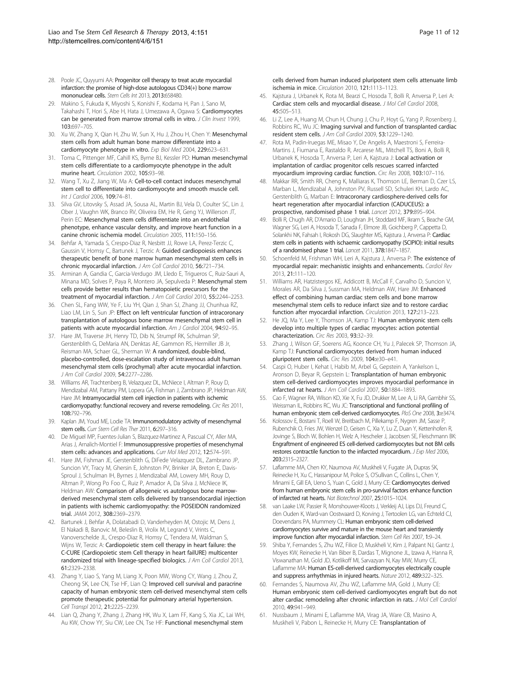- <span id="page-10-0"></span>28. Poole JC, Quyyumi AA: Progenitor cell therapy to treat acute myocardial infarction: the promise of high-dose autologous CD34(+) bone marrow mononuclear cells. Stem Cells Int 2013, 2013:658480.
- 29. Makino S, Fukuda K, Miyoshi S, Konishi F, Kodama H, Pan J, Sano M, Takahashi T, Hori S, Abe H, Hata J, Umezawa A, Ogawa S: Cardiomyocytes can be generated from marrow stromal cells in vitro. J Clin Invest 1999, 103:697–705.
- 30. Xu W, Zhang X, Qian H, Zhu W, Sun X, Hu J, Zhou H, Chen Y: Mesenchymal stem cells from adult human bone marrow differentiate into a cardiomyocyte phenotype in vitro. Exp Biol Med 2004, 229:623–631.
- 31. Toma C, Pittenger MF, Cahill KS, Byrne BJ, Kessler PD: Human mesenchymal stem cells differentiate to a cardiomyocyte phenotype in the adult murine heart. Circulation 2002, 105:93–98.
- 32. Wang T, Xu Z, Jiang W, Ma A: Cell-to-cell contact induces mesenchymal stem cell to differentiate into cardiomyocyte and smooth muscle cell. Int J Cardiol 2006, 109:74–81.
- 33. Silva GV, Litovsky S, Assad JA, Sousa AL, Martin BJ, Vela D, Coulter SC, Lin J, Ober J, Vaughn WK, Branco RV, Oliveira EM, He R, Geng YJ, Willerson JT, Perin EC: Mesenchymal stem cells differentiate into an endothelial phenotype, enhance vascular density, and improve heart function in a canine chronic ischemia model. Circulation 2005, 111:150–156.
- 34. Behfar A, Yamada S, Crespo-Diaz R, Nesbitt JJ, Rowe LA, Perez-Terzic C, Gaussin V, Homsy C, Bartunek J, Terzic A: Guided cardiopoiesis enhances therapeutic benefit of bone marrow human mesenchymal stem cells in chronic myocardial infarction. J Am Coll Cardiol 2010, 56:721–734.
- 35. Arminan A, Gandia C, Garcia-Verdugo JM, Lledo E, Trigueros C, Ruiz-Sauri A, Minana MD, Solves P, Paya R, Montero JA, Sepulveda P: Mesenchymal stem cells provide better results than hematopoietic precursors for the treatment of myocardial infarction. J Am Coll Cardiol 2010, 55:2244–2253.
- 36. Chen SL, Fang WW, Ye F, Liu YH, Qian J, Shan SJ, Zhang JJ, Chunhua RZ, Liao LM, Lin S, Sun JP: Effect on left ventricular function of intracoronary transplantation of autologous bone marrow mesenchymal stem cell in patients with acute myocardial infarction. Am J Cardiol 2004, 94:92-95.
- 37. Hare JM, Traverse JH, Henry TD, Dib N, Strumpf RK, Schulman SP, Gerstenblith G, DeMaria AN, Denktas AE, Gammon RS, Hermiller JB Jr, Reisman MA, Schaer GL, Sherman W: A randomized, double-blind, placebo-controlled, dose-escalation study of intravenous adult human mesenchymal stem cells (prochymal) after acute myocardial infarction. J Am Coll Cardiol 2009, 54:2277–2286.
- 38. Williams AR, Trachtenberg B, Velazquez DL, McNiece I, Altman P, Rouy D, Mendizabal AM, Pattany PM, Lopera GA, Fishman J, Zambrano JP, Heldman AW, Hare JM: Intramyocardial stem cell injection in patients with ischemic cardiomyopathy: functional recovery and reverse remodeling. Circ Res 2011, 108:792–796.
- 39. Kaplan JM, Youd ME, Lodie TA: Immunomodulatory activity of mesenchymal stem cells. Curr Stem Cell Res Ther 2011, 6:297-316.
- 40. De Miguel MP, Fuentes-Julian S, Blazquez-Martinez A, Pascual CY, Aller MA, Arias J, Arnalich-Montiel F: Immunosuppressive properties of mesenchymal stem cells: advances and applications. Curr Mol Med 2012, 12:574–591.
- 41. Hare JM, Fishman JE, Gerstenblith G, DiFede Velazquez DL, Zambrano JP, Suncion VY, Tracy M, Ghersin E, Johnston PV, Brinker JA, Breton E, Davis-Sproul J, Schulman IH, Byrnes J, Mendizabal AM, Lowery MH, Rouy D, Altman P, Wong Po Foo C, Ruiz P, Amador A, Da Silva J, McNiece IK, Heldman AW: Comparison of allogeneic vs autologous bone marrowderived mesenchymal stem cells delivered by transendocardial injection in patients with ischemic cardiomyopathy: the POSEIDON randomized trial. JAMA 2012, 308:2369–2379.
- 42. Bartunek J, Behfar A, Dolatabadi D, Vanderheyden M, Ostojic M, Dens J, El Nakadi B, Banovic M, Beleslin B, Vrolix M, Legrand V, Vrints C, Vanoverschelde JL, Crespo-Diaz R, Homsy C, Tendera M, Waldman S, Wijns W, Terzic A: Cardiopoietic stem cell therapy in heart failure: the C-CURE (Cardiopoietic stem Cell therapy in heart failURE) multicenter randomized trial with lineage-specified biologics. J Am Coll Cardiol 2013, 61:2329–2338.
- 43. Zhang Y, Liao S, Yang M, Liang X, Poon MW, Wong CY, Wang J, Zhou Z, Cheong SK, Lee CN, Tse HF, Lian Q: Improved cell survival and paracrine capacity of human embryonic stem cell-derived mesenchymal stem cells promote therapeutic potential for pulmonary arterial hypertension. Cell Transpl 2012, 21:2225–2239.
- 44. Lian Q, Zhang Y, Zhang J, Zhang HK, Wu X, Lam FF, Kang S, Xia JC, Lai WH, Au KW, Chow YY, Siu CW, Lee CN, Tse HF: Functional mesenchymal stem

cells derived from human induced pluripotent stem cells attenuate limb ischemia in mice. Circulation 2010, 121:1113–1123.

- 45. Kajstura J, Urbanek K, Rota M, Bearzi C, Hosoda T, Bolli R, Anversa P, Leri A: Cardiac stem cells and myocardial disease. J Mol Cell Cardiol 2008, 45:505–513.
- 46. Li Z, Lee A, Huang M, Chun H, Chung J, Chu P, Hoyt G, Yang P, Rosenberg J, Robbins RC, Wu JC: Imaging survival and function of transplanted cardiac resident stem cells. J Am Coll Cardiol 2009, 53:1229–1240.
- 47. Rota M, Padin-Iruegas ME, Misao Y, De Angelis A, Maestroni S, Ferreira-Martins J, Fiumana E, Rastaldo R, Arcarese ML, Mitchell TS, Boni A, Bolli R, Urbanek K, Hosoda T, Anversa P, Leri A, Kajstura J: Local activation or implantation of cardiac progenitor cells rescues scarred infarcted myocardium improving cardiac function. Circ Res 2008, 103:107–116.
- 48. Makkar RR, Smith RR, Cheng K, Malliaras K, Thomson LE, Berman D, Czer LS, Marban L, Mendizabal A, Johnston PV, Russell SD, Schuleri KH, Lardo AC, Gerstenblith G, Marban E: Intracoronary cardiosphere-derived cells for heart regeneration after myocardial infarction (CADUCEUS): a prospective, randomised phase 1 trial. Lancet 2012, 379:895–904.
- 49. Bolli R, Chugh AR, D'Amario D, Loughran JH, Stoddard MF, Ikram S, Beache GM, Wagner SG, Leri A, Hosoda T, Sanada F, Elmore JB, Goichberg P, Cappetta D, Solankhi NK, Fahsah I, Rokosh DG, Slaughter MS, Kajstura J, Anversa P: Cardiac stem cells in patients with ischaemic cardiomyopathy (SCIPIO): initial results of a randomised phase 1 trial. Lancet 2011, 378:1847–1857.
- 50. Schoenfeld M, Frishman WH, Leri A, Kajstura J, Anversa P: The existence of myocardial repair: mechanistic insights and enhancements. Cardiol Rev 2013, 21:111–120.
- 51. Williams AR, Hatzistergos KE, Addicott B, McCall F, Carvalho D, Suncion V, Morales AR, Da Silva J, Sussman MA, Heldman AW, Hare JM: Enhanced effect of combining human cardiac stem cells and bone marrow mesenchymal stem cells to reduce infarct size and to restore cardiac function after myocardial infarction. Circulation 2013, 127:213–223.
- 52. He JQ, Ma Y, Lee Y, Thomson JA, Kamp TJ: Human embryonic stem cells develop into multiple types of cardiac myocytes: action potential characterization. Circ Res 2003, 93:32–39.
- 53. Zhang J, Wilson GF, Soerens AG, Koonce CH, Yu J, Palecek SP, Thomson JA, Kamp TJ: Functional cardiomyocytes derived from human induced pluripotent stem cells. Circ Res 2009, 104:e30–e41.
- 54. Caspi O, Huber I, Kehat I, Habib M, Arbel G, Gepstein A, Yankelson L, Aronson D, Beyar R, Gepstein L: Transplantation of human embryonic stem cell-derived cardiomyocytes improves myocardial performance in infarcted rat hearts. J Am Coll Cardiol 2007, 50:1884–1893.
- 55. Cao F, Wagner RA, Wilson KD, Xie X, Fu JD, Drukker M, Lee A, Li RA, Gambhir SS, Weissman IL, Robbins RC, Wu JC: Transcriptional and functional profiling of human embryonic stem cell-derived cardiomyocytes. PloS One 2008, 3:e3474.
- 56. Kolossov E, Bostani T, Roell W, Breitbach M, Pillekamp F, Nygren JM, Sasse P, Rubenchik O, Fries JW, Wenzel D, Geisen C, Xia Y, Lu Z, Duan Y, Kettenhofen R, Jovinge S, Bloch W, Bohlen H, Welz A, Hescheler J, Jacobsen SE, Fleischmann BK: Engraftment of engineered ES cell-derived cardiomyocytes but not BM cells restores contractile function to the infarcted myocardium. *J Exp Med 2006*, 203:2315–2327.
- 57. Laflamme MA, Chen KY, Naumova AV, Muskheli V, Fugate JA, Dupras SK, Reinecke H, Xu C, Hassanipour M, Police S, O'Sullivan C, Collins L, Chen Y, Minami E, Gill EA, Ueno S, Yuan C, Gold J, Murry CE: Cardiomyocytes derived from human embryonic stem cells in pro-survival factors enhance function of infarcted rat hearts. Nat Biotechnol 2007, 25:1015–1024.
- 58. van Laake LW, Passier R, Monshouwer-Kloots J, Verkleij AJ, Lips DJ, Freund C, den Ouden K, Ward-van Oostwaard D, Korving J, Tertoolen LG, van Echteld CJ, Doevendans PA, Mummery CL: Human embryonic stem cell-derived cardiomyocytes survive and mature in the mouse heart and transiently improve function after myocardial infarction. Stem Cell Res 2007, 1:9-24.
- 59. Shiba Y, Fernandes S, Zhu WZ, Filice D, Muskheli V, Kim J, Palpant NJ, Gantz J, Moyes KW, Reinecke H, Van Biber B, Dardas T, Mignone JL, Izawa A, Hanna R, Viswanathan M, Gold JD, Kotlikoff MI, Sarvazyan N, Kay MW, Murry CE, Laflamme MA: Human ES-cell-derived cardiomyocytes electrically couple and suppress arrhythmias in injured hearts. Nature 2012, 489:322–325.
- 60. Fernandes S, Naumova AV, Zhu WZ, Laflamme MA, Gold J, Murry CE: Human embryonic stem cell-derived cardiomyocytes engraft but do not alter cardiac remodeling after chronic infarction in rats. J Mol Cell Cardiol 2010, 49:941–949.
- 61. Nussbaum J, Minami E, Laflamme MA, Virag JA, Ware CB, Masino A, Muskheli V, Pabon L, Reinecke H, Murry CE: Transplantation of